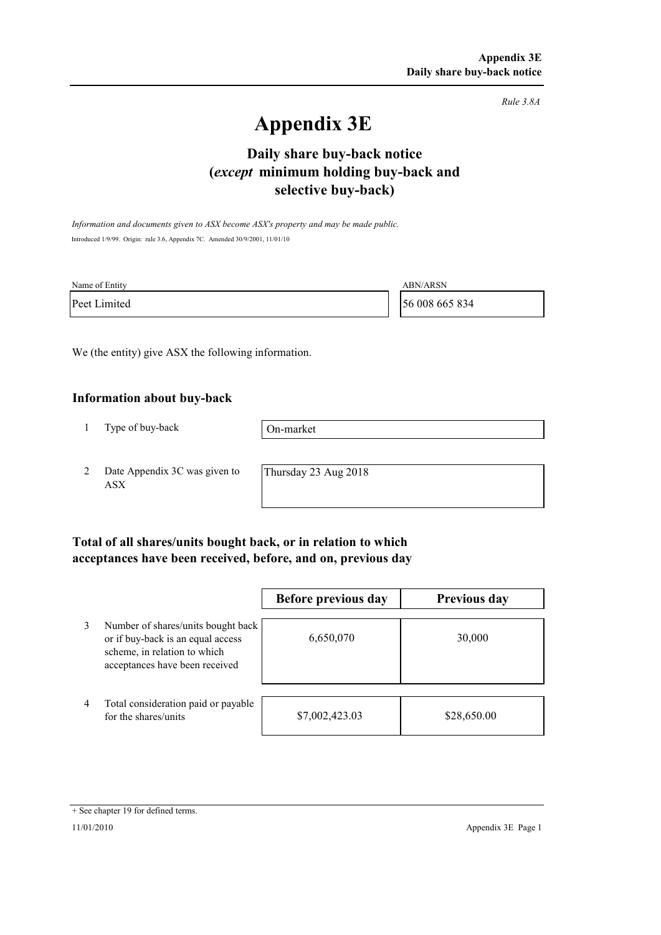*Rule 3.8A*

# **Appendix 3E**

# **selective buy-back) Daily share buy-back notice (***except* **minimum holding buy-back and**

*Information and documents given to ASX become ASX's property and may be made public.* Introduced 1/9/99. Origin: rule 3.6, Appendix 7C. Amended 30/9/2001, 11/01/10

| Name of Entity | ABN/ARSN       |
|----------------|----------------|
| Peet Limited   | 56 008 665 834 |

We (the entity) give ASX the following information.

#### **Information about buy-back**

1 Type of buy-back

On-market

2 Date Appendix 3C was given to ASX

Thursday 23 Aug 2018

### **Total of all shares/units bought back, or in relation to which acceptances have been received, before, and on, previous day**

|   |                                                                                                                                           | Before previous day | <b>Previous day</b> |
|---|-------------------------------------------------------------------------------------------------------------------------------------------|---------------------|---------------------|
| 3 | Number of shares/units bought back<br>or if buy-back is an equal access<br>scheme, in relation to which<br>acceptances have been received | 6,650,070           | 30,000              |
| 4 | Total consideration paid or payable<br>for the shares/units                                                                               | \$7,002,423.03      | \$28,650.00         |

<sup>+</sup> See chapter 19 for defined terms.